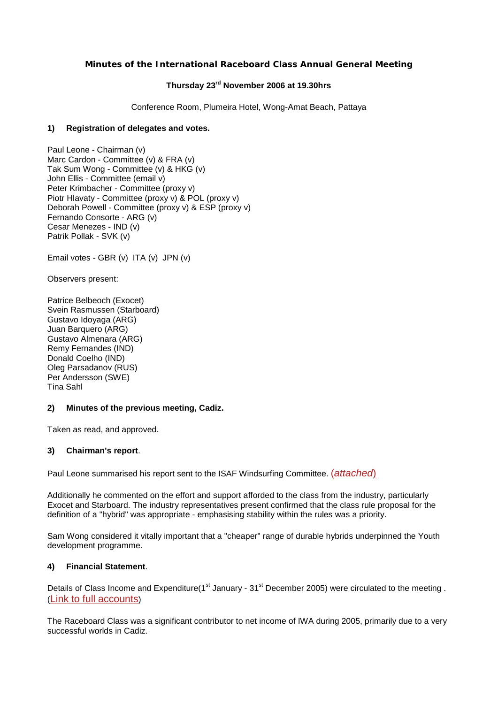# **Minutes of the International Raceboard Class Annual General Meeting**

# **Thursday 23rd November 2006 at 19.30hrs**

Conference Room, Plumeira Hotel, Wong-Amat Beach, Pattaya

### **1) Registration of delegates and votes.**

Paul Leone - Chairman (v) Marc Cardon - Committee (v) & FRA (v) Tak Sum Wong - Committee (v) & HKG (v) John Ellis - Committee (email v) Peter Krimbacher - Committee (proxy v) Piotr Hlavaty - Committee (proxy v) & POL (proxy v) Deborah Powell - Committee (proxy v) & ESP (proxy v) Fernando Consorte - ARG (v) Cesar Menezes - IND (v) Patrik Pollak - SVK (v)

Email votes - GBR (v) ITA (v) JPN (v)

Observers present:

Patrice Belbeoch (Exocet) Svein Rasmussen (Starboard) Gustavo Idoyaga (ARG) Juan Barquero (ARG) Gustavo Almenara (ARG) Remy Fernandes (IND) Donald Coelho (IND) Oleg Parsadanov (RUS) Per Andersson (SWE) Tina Sahl

#### **2) Minutes of the previous meeting, Cadiz.**

Taken as read, and approved.

## **3) Chairman's report**.

Paul Leone summarised his report sent to the ISAF Windsurfing Committee. (*[attached](http://www.raceboard.org/page0133v01.htm)*)

Additionally he commented on the effort and support afforded to the class from the industry, particularly Exocet and Starboard. The industry representatives present confirmed that the class rule proposal for the definition of a "hybrid" was appropriate - emphasising stability within the rules was a priority.

Sam Wong considered it vitally important that a "cheaper" range of durable hybrids underpinned the Youth development programme.

# **4) Financial Statement**.

Details of Class Income and Expenditure(1<sup>st</sup> January - 31<sup>st</sup> December 2005) were circulated to the meeting . [\(Link to full accounts\)](http://www.internationalwindsurfing.com/default.asp?menu=514&parent=272&grandparent=2)

The Raceboard Class was a significant contributor to net income of IWA during 2005, primarily due to a very successful worlds in Cadiz.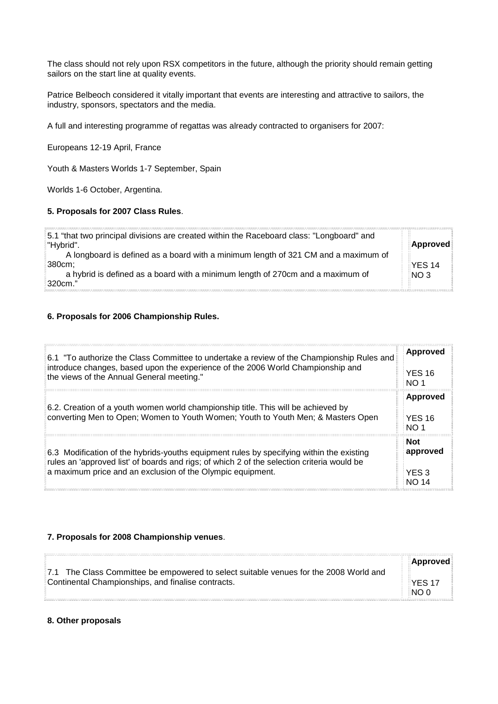The class should not rely upon RSX competitors in the future, although the priority should remain getting sailors on the start line at quality events.

Patrice Belbeoch considered it vitally important that events are interesting and attractive to sailors, the industry, sponsors, spectators and the media.

A full and interesting programme of regattas was already contracted to organisers for 2007:

Europeans 12-19 April, France

Youth & Masters Worlds 1-7 September, Spain

Worlds 1-6 October, Argentina.

#### **5. Proposals for 2007 Class Rules**.

| 5.1 "that two principal divisions are created within the Raceboard class: "Longboard" and<br>"Hybrid". | Approved                  |
|--------------------------------------------------------------------------------------------------------|---------------------------|
| A longboard is defined as a board with a minimum length of 321 CM and a maximum of<br>:380cm:          |                           |
| a hybrid is defined as a board with a minimum length of 270cm and a maximum of                         | YES 14<br>NO <sub>3</sub> |
| 320cm."                                                                                                |                           |

# **6. Proposals for 2006 Championship Rules.**

| 6.1 "To authorize the Class Committee to undertake a review of the Championship Rules and                                                                             | Approved                                 |
|-----------------------------------------------------------------------------------------------------------------------------------------------------------------------|------------------------------------------|
| introduce changes, based upon the experience of the 2006 World Championship and                                                                                       | <b>YES 16</b>                            |
| the views of the Annual General meeting."                                                                                                                             | NO <sub>1</sub>                          |
| 6.2. Creation of a youth women world championship title. This will be achieved by<br>converting Men to Open; Women to Youth Women; Youth to Youth Men; & Masters Open | <b>Approved</b><br><b>YES 16</b><br>NO 1 |
| 6.3 Modification of the hybrids-youths equipment rules by specifying within the existing                                                                              | <b>Not</b>                               |
| rules an 'approved list' of boards and rigs; of which 2 of the selection criteria would be                                                                            | approved                                 |
| a maximum price and an exclusion of the Olympic equipment.                                                                                                            | YES 3                                    |

## **7. Proposals for 2008 Championship venues**.

|                                                                                       | Approved |
|---------------------------------------------------------------------------------------|----------|
| 7.1 The Class Committee be empowered to select suitable venues for the 2008 World and |          |
| Continental Championships, and finalise contracts.                                    | NES 17   |
|                                                                                       | NOP      |

## **8. Other proposals**